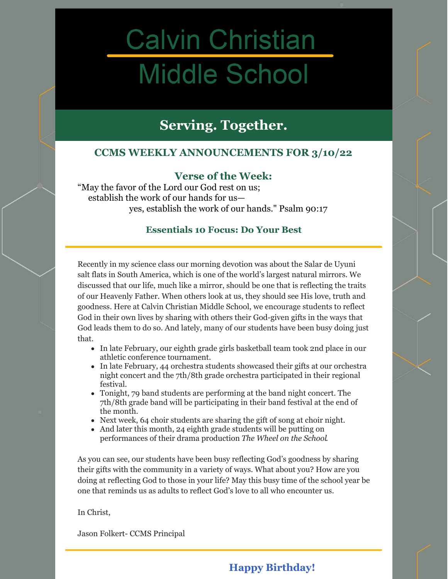# **Calvin Christian Middle School**

## **Serving. Together.**

## **CCMS WEEKLY ANNOUNCEMENTS FOR 3/10/22**

## **Verse of the Week:**

"May the favor of the Lord our God rest on us; establish the work of our hands for us yes, establish the work of our hands." Psalm 90:17

## **Essentials 10 Focus: Do Your Best**

Recently in my science class our morning devotion was about the Salar de Uyuni salt flats in South America, which is one of the world's largest natural mirrors. We discussed that our life, much like a mirror, should be one that is reflecting the traits of our Heavenly Father. When others look at us, they should see His love, truth and goodness. Here at Calvin Christian Middle School, we encourage students to reflect God in their own lives by sharing with others their God-given gifts in the ways that God leads them to do so. And lately, many of our students have been busy doing just that.

- In late February, our eighth grade girls basketball team took 2nd place in our athletic conference tournament.
- In late February, 44 orchestra students showcased their gifts at our orchestra night concert and the 7th/8th grade orchestra participated in their regional festival.
- Tonight, 79 band students are performing at the band night concert. The 7th/8th grade band will be participating in their band festival at the end of the month.
- Next week, 64 choir students are sharing the gift of song at choir night.
- And later this month, 24 eighth grade students will be putting on performances of their drama production *The Wheel on the School*.

As you can see, our students have been busy reflecting God's goodness by sharing their gifts with the community in a variety of ways. What about you? How are you doing at reflecting God to those in your life? May this busy time of the school year be one that reminds us as adults to reflect God's love to all who encounter us.

In Christ,

Jason Folkert- CCMS Principal

## **Happy Birthday!**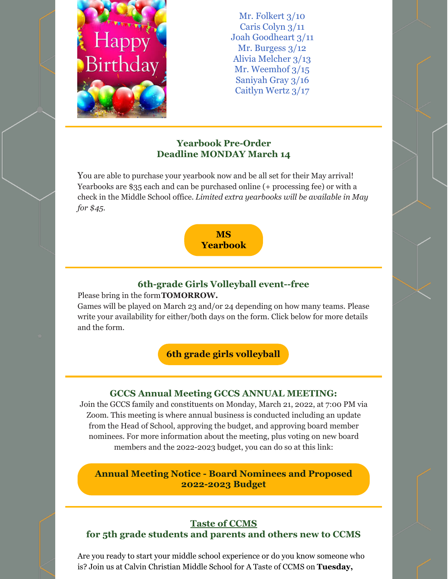

Mr. Folkert 3/10 Caris Colyn 3/11 Joah Goodheart 3/11 Mr. Burgess  $3/12$ Alivia Melcher 3/13 Mr. Weemhof 3/15 Saniyah Gray 3/16 Caitlyn Wertz 3/17

## **Yearbook Pre-Order Deadline MONDAY March 14**

You are able to purchase your yearbook now and be all set for their May arrival! Yearbooks are \$35 each and can be purchased online (+ processing fee) or with a check in the Middle School office. *Limited extra yearbooks will be available in May for \$45.*



## **6th-grade Girls Volleyball event--free**

Please bring in the form**TOMORROW.**

Games will be played on March 23 and/or 24 depending on how many teams. Please write your availability for either/both days on the form. Click below for more details and the form.

**6th grade girls [volleyball](https://files.constantcontact.com/9f9c2db7501/9a5cb272-af83-423c-8c9a-1f32c3c88e14.pdf)**

## **GCCS Annual Meeting GCCS ANNUAL MEETING:**

Join the GCCS family and constituents on Monday, March 21, 2022, at 7:00 PM via Zoom. This meeting is where annual business is conducted including an update from the Head of School, approving the budget, and approving board member nominees. For more information about the meeting, plus voting on new board members and the 2022-2023 budget, you can do so at this link:

**Annual Meeting Notice - Board Nominees and Proposed [2022-2023](https://drive.google.com/file/d/1BNwsetl6BzYjSieMIp7kfHntnGYhMVXB/view) Budget**

#### **Taste of CCMS for 5th grade students and parents and others new to CCMS**

Are you ready to start your middle school experience or do you know someone who is? Join us at Calvin Christian Middle School for A Taste of CCMS on **Tuesday,**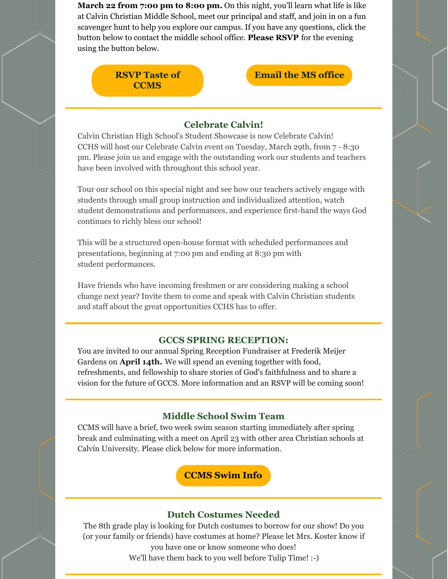**March 22 from 7:00 pm to 8:00 pm.** On this night, you'll learn what life is like at Calvin Christian Middle School, meet our principal and staff, and join in on a fun scavenger hunt to help you explore our campus. If you have any questions, click the button below to contact the middle school office. **Please RSVP** for the evening using the button below.

## **RSVP Taste of [CCMS](https://bit.ly/3J0r5gW)**

## **[Email](mailto:msoffice@gccsmi.org) the MS office**

#### **Celebrate Calvin!**

Calvin Christian High School's Student Showcase is now Celebrate Calvin! CCHS will host our Celebrate Calvin event on Tuesday, March 29th, from 7 - 8:30 pm. Please join us and engage with the outstanding work our students and teachers have been involved with throughout this school year.

Tour our school on this special night and see how our teachers actively engage with students through small group instruction and individualized attention, watch student demonstrations and performances, and experience first-hand the ways God continues to richly bless our school!

This will be a structured open-house format with scheduled performances and presentations, beginning at 7:00 pm and ending at 8:30 pm with student performances.

Have friends who have incoming freshmen or are considering making a school change next year? Invite them to come and speak with Calvin Christian students and staff about the great opportunities CCHS has to offer.

#### **GCCS SPRING RECEPTION:**

You are invited to our annual Spring Reception Fundraiser at Frederik Meijer Gardens on **April 14th.** We will spend an evening together with food, refreshments, and fellowship to share stories of God's faithfulness and to share a vision for the future of GCCS. More information and an RSVP will be coming soon!

#### **Middle School Swim Team**

CCMS will have a brief, two week swim season starting immediately after spring break and culminating with a meet on April 23 with other area Christian schools at Calvin University. Please click below for more information.

**[CCMS](https://docs.google.com/document/d/1mOHewI6FNKFVs_L3oxE229KIlESztvGR5-T9wP82GVU/edit?usp=sharing) Swim Info**

## **Dutch Costumes Needed**

The 8th grade play is looking for Dutch costumes to borrow for our show! Do you (or your family or friends) have costumes at home? Please let Mrs. Koster know if you have one or know someone who does!

We'll have them back to you well before Tulip Time! :-)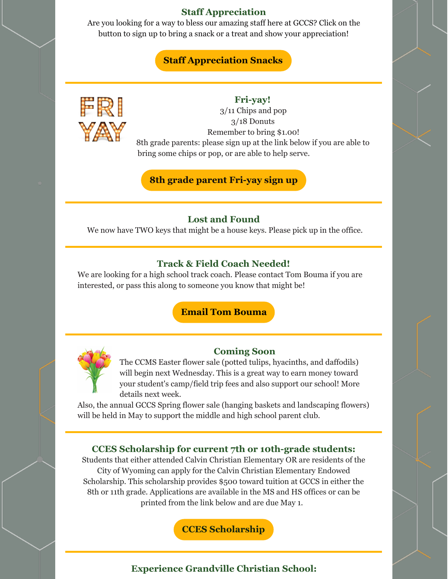## **Staff Appreciation**

Are you looking for a way to bless our amazing staff here at GCCS? Click on the button to sign up to bring a snack or a treat and show your appreciation!

## **Staff [Appreciation](https://www.signupgenius.com/go/10c0d4eaeae2ea5f8c25-20202021) Snacks**



#### **Fri-yay!**

3/11 Chips and pop 3/18 Donuts Remember to bring \$1.00! 8th grade parents: please sign up at the link below if you are able to bring some chips or pop, or are able to help serve.

**8th grade parent [Fri-yay](https://www.signupgenius.com/go/30e0d4ea4a823a0f49-friyay1) sign up**

#### **Lost and Found**

We now have TWO keys that might be a house keys. Please pick up in the office.

#### **Track & Field Coach Needed!**

We are looking for a high school track coach. Please contact Tom Bouma if you are interested, or pass this along to someone you know that might be!

## **Email Tom [Bouma](mailto:tbouma@gccsmi.org)**



#### **Coming Soon**

The CCMS Easter flower sale (potted tulips, hyacinths, and daffodils) will begin next Wednesday. This is a great way to earn money toward your student's camp/field trip fees and also support our school! More details next week.

Also, the annual GCCS Spring flower sale (hanging baskets and landscaping flowers) will be held in May to support the middle and high school parent club.

#### **CCES Scholarship for current 7th or 10th-grade students:**

Students that either attended Calvin Christian Elementary OR are residents of the City of Wyoming can apply for the Calvin Christian Elementary Endowed Scholarship. This scholarship provides \$500 toward tuition at GCCS in either the 8th or 11th grade. Applications are available in the MS and HS offices or can be printed from the link below and are due May 1.

**CCES [Scholarship](https://docs.google.com/document/d/1uwBc3AeIaGof9vhiCIndjq0rcUQ9TS9XhKJAoZUYBFI/edit)**

#### **Experience Grandville Christian School:**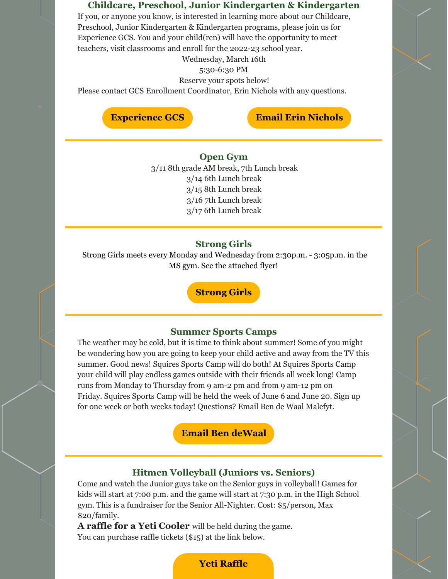#### **Childcare, Preschool, Junior Kindergarten & Kindergarten**

If you, or anyone you know, is interested in learning more about our Childcare, Preschool, Junior Kindergarten & Kindergarten programs, please join us for Experience GCS. You and your child(ren) will have the opportunity to meet teachers, visit classrooms and enroll for the 2022-23 school year.

Wednesday, March 16th

5:30-6:30 PM

Reserve your spots below!

Please contact GCS Enrollment Coordinator, Erin Nichols with any questions.

## **[Experience](https://www.eventbrite.com/e/childcare-preschool-junior-kinder-kindergarten-enrollment-2022-2023-registration-290471567277) GCS Email Erin [Nichols](mailto:enichols@gccsmi.org)**

#### **Open Gym** 3/11 8th grade AM break, 7th Lunch break 3/14 6th Lunch break 3/15 8th Lunch break 3/16 7th Lunch break 3/17 6th Lunch break

## **Strong Girls**

Strong Girls meets every Monday and Wednesday from 2:30p.m. - 3:05p.m. in the MS gym. See the attached flyer!

**[Strong](https://files.constantcontact.com/9f9c2db7501/ec421512-fc8a-4cfd-9024-3d055fe947e8.pdf) Girls**

#### **Summer Sports Camps**

The weather may be cold, but it is time to think about summer! Some of you might be wondering how you are going to keep your child active and away from the TV this summer. Good news! Squires Sports Camp will do both! At Squires Sports Camp your child will play endless games outside with their friends all week long! Camp runs from Monday to Thursday from 9 am-2 pm and from 9 am-12 pm on Friday. Squires Sports Camp will be held the week of June 6 and June 20. Sign up for one week or both weeks today! Questions? Email Ben de Waal Malefyt.

#### **Email Ben [deWaal](mailto:bdewaalmalefyt@gccsmi.org)**

#### **Hitmen Volleyball (Juniors vs. Seniors)**

Come and watch the Junior guys take on the Senior guys in volleyball! Games for kids will start at 7:00 p.m. and the game will start at 7:30 p.m. in the High School gym. This is a fundraiser for the Senior All-Nighter. Cost: \$5/person, Max \$20/family.

**A raffle for a Yeti Cooler** will be held during the game. You can purchase raffle tickets (\$15) at the link below.

#### **Yeti [Raffle](https://grandville-calvin-christian-schools.square.site/)**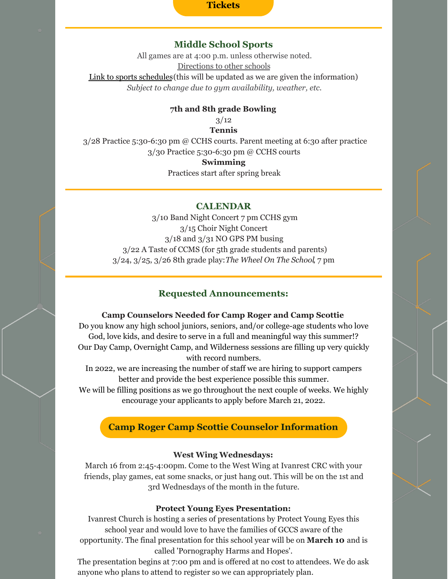#### **Tickets**

#### **Middle School Sports**

All games are at 4:00 p.m. unless otherwise noted. [Directions](https://www.gosquires.org/sports/middle-school-sports/locations/) to other schools Link to sports [schedules](https://www.gosquires.org/sports/middle-school-sports/schedule/)(this will be updated as we are given the information) *Subject to change due to gym availability, weather, etc.*

#### **7th and 8th grade Bowling**

 $3/12$ **Tennis**

3/28 Practice 5:30-6:30 pm @ CCHS courts. Parent meeting at 6:30 after practice 3/30 Practice 5:30-6:30 pm @ CCHS courts

#### **Swimming**

Practices start after spring break

#### **CALENDAR**

3/10 Band Night Concert 7 pm CCHS gym 3/15 Choir Night Concert 3/18 and 3/31 NO GPS PM busing 3/22 A Taste of CCMS (for 5th grade students and parents) 3/24, 3/25, 3/26 8th grade play:*The Wheel On The School*, 7 pm

#### **Requested Announcements:**

#### **Camp Counselors Needed for Camp Roger and Camp Scottie**

Do you know any high school juniors, seniors, and/or college-age students who love God, love kids, and desire to serve in a full and meaningful way this summer!? Our Day Camp, Overnight Camp, and Wilderness sessions are filling up very quickly with record numbers.

In 2022, we are increasing the number of staff we are hiring to support campers better and provide the best experience possible this summer.

We will be filling positions as we go throughout the next couple of weeks. We highly encourage your applicants to apply before March 21, 2022.

#### **Camp Roger Camp Scottie Counselor [Information](https://docs.google.com/document/d/1hpJ7Id2ZS1JVHWWaXapi-sx7mH-TRACdQJn3vzNvqpQ/edit?usp=sharing)**

#### **West Wing Wednesdays:**

March 16 from 2:45-4:00pm. Come to the West Wing at Ivanrest CRC with your friends, play games, eat some snacks, or just hang out. This will be on the 1st and 3rd Wednesdays of the month in the future.

#### **Protect Young Eyes Presentation:**

Ivanrest Church is hosting a series of presentations by Protect Young Eyes this school year and would love to have the families of GCCS aware of the opportunity. The final presentation for this school year will be on **March 10** and is called 'Pornography Harms and Hopes'.

The presentation begins at 7:00 pm and is offered at no cost to attendees. We do ask anyone who plans to attend to register so we can appropriately plan.